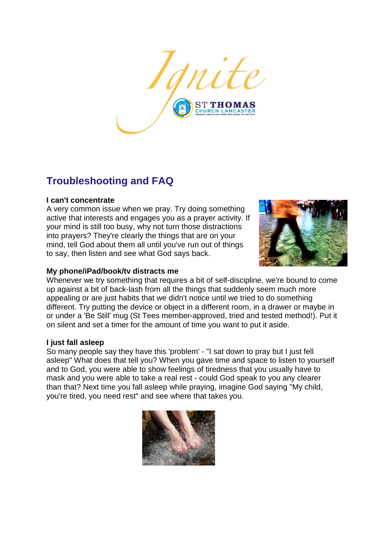

# **Troubleshooting and FAQ**

## **I can't concentrate**

A very common issue when we pray. Try doing something active that interests and engages you as a prayer activity. If your mind is still too busy, why not turn those distractions into prayers? They're clearly the things that are on your mind, tell God about them all until you've run out of things to say, then listen and see what God says back.



# **My phone/iPad/book/tv distracts me**

Whenever we try something that requires a bit of self-discipline, we're bound to come up against a bit of back-lash from all the things that suddenly seem much more appealing or are just habits that we didn't notice until we tried to do something different. Try putting the device or object in a different room, in a drawer or maybe in or under a 'Be Still' mug (St Tees member-approved, tried and tested method!). Put it on silent and set a timer for the amount of time you want to put it aside.

## **I just fall asleep**

So many people say they have this 'problem' - "I sat down to pray but I just fell asleep" What does that tell you? When you gave time and space to listen to yourself and to God, you were able to show feelings of tiredness that you usually have to mask and you were able to take a real rest - could God speak to you any clearer than that? Next time you fall asleep while praying, imagine God saying "My child, you're tired, you need rest" and see where that takes you.

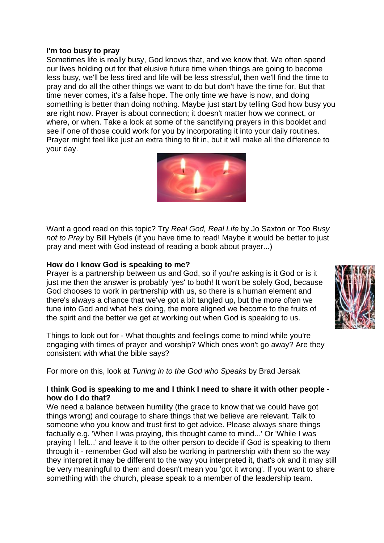#### **I'm too busy to pray**

Sometimes life is really busy, God knows that, and we know that. We often spend our lives holding out for that elusive future time when things are going to become less busy, we'll be less tired and life will be less stressful, then we'll find the time to pray and do all the other things we want to do but don't have the time for. But that time never comes, it's a false hope. The only time we have is now, and doing something is better than doing nothing. Maybe just start by telling God how busy you are right now. Prayer is about connection; it doesn't matter how we connect, or where, or when. Take a look at some of the sanctifying prayers in this booklet and see if one of those could work for you by incorporating it into your daily routines. Prayer might feel like just an extra thing to fit in, but it will make all the difference to your day.



Want a good read on this topic? Try *Real God, Real Life* by Jo Saxton or *Too Busy not to Pray* by Bill Hybels (if you have time to read! Maybe it would be better to just pray and meet with God instead of reading a book about prayer...)

## **How do I know God is speaking to me?**

Prayer is a partnership between us and God, so if you're asking is it God or is it just me then the answer is probably 'yes' to both! It won't be solely God, because God chooses to work in partnership with us, so there is a human element and there's always a chance that we've got a bit tangled up, but the more often we tune into God and what he's doing, the more aligned we become to the fruits of the spirit and the better we get at working out when God is speaking to us.

Things to look out for - What thoughts and feelings come to mind while you're engaging with times of prayer and worship? Which ones won't go away? Are they consistent with what the bible says?

For more on this, look at *Tuning in to the God who Speaks* by Brad Jersak

## **I think God is speaking to me and I think I need to share it with other people how do I do that?**

We need a balance between humility (the grace to know that we could have got things wrong) and courage to share things that we believe are relevant. Talk to someone who you know and trust first to get advice. Please always share things factually e.g. 'When I was praying, this thought came to mind...' Or 'While I was praying I felt...' and leave it to the other person to decide if God is speaking to them through it - remember God will also be working in partnership with them so the way they interpret it may be different to the way you interpreted it, that's ok and it may still be very meaningful to them and doesn't mean you 'got it wrong'. If you want to share something with the church, please speak to a member of the leadership team.

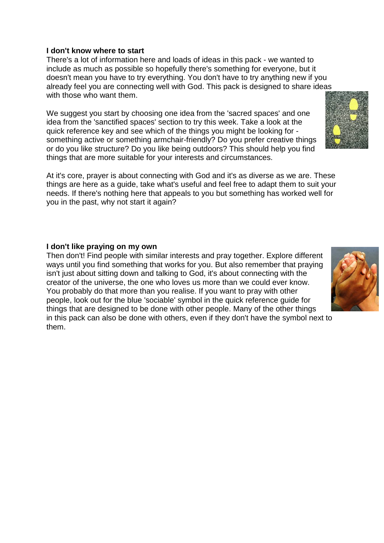# **I don't know where to start**

There's a lot of information here and loads of ideas in this pack - we wanted to include as much as possible so hopefully there's something for everyone, but it doesn't mean you have to try everything. You don't have to try anything new if you already feel you are connecting well with God. This pack is designed to share ideas with those who want them.

We suggest you start by choosing one idea from the 'sacred spaces' and one idea from the 'sanctified spaces' section to try this week. Take a look at the quick reference key and see which of the things you might be looking for something active or something armchair-friendly? Do you prefer creative things or do you like structure? Do you like being outdoors? This should help you find things that are more suitable for your interests and circumstances.

At it's core, prayer is about connecting with God and it's as diverse as we are. These things are here as a guide, take what's useful and feel free to adapt them to suit your needs. If there's nothing here that appeals to you but something has worked well for you in the past, why not start it again?

# **I don't like praying on my own**

Then don't! Find people with similar interests and pray together. Explore different ways until you find something that works for you. But also remember that praying isn't just about sitting down and talking to God, it's about connecting with the creator of the universe, the one who loves us more than we could ever know. You probably do that more than you realise. If you want to pray with other people, look out for the blue 'sociable' symbol in the quick reference guide for things that are designed to be done with other people. Many of the other things in this pack can also be done with others, even if they don't have the symbol next to them.



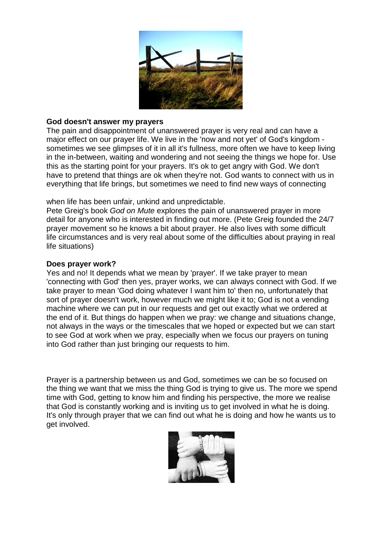

#### **God doesn't answer my prayers**

The pain and disappointment of unanswered prayer is very real and can have a major effect on our prayer life. We live in the 'now and not yet' of God's kingdom sometimes we see glimpses of it in all it's fullness, more often we have to keep living in the in-between, waiting and wondering and not seeing the things we hope for. Use this as the starting point for your prayers. It's ok to get angry with God. We don't have to pretend that things are ok when they're not. God wants to connect with us in everything that life brings, but sometimes we need to find new ways of connecting

when life has been unfair, unkind and unpredictable.

Pete Greig's book *God on Mute* explores the pain of unanswered prayer in more detail for anyone who is interested in finding out more. (Pete Greig founded the 24/7 prayer movement so he knows a bit about prayer. He also lives with some difficult life circumstances and is very real about some of the difficulties about praying in real life situations)

#### **Does prayer work?**

Yes and no! It depends what we mean by 'prayer'. If we take prayer to mean 'connecting with God' then yes, prayer works, we can always connect with God. If we take prayer to mean 'God doing whatever I want him to' then no, unfortunately that sort of prayer doesn't work, however much we might like it to; God is not a vending machine where we can put in our requests and get out exactly what we ordered at the end of it. But things do happen when we pray: we change and situations change, not always in the ways or the timescales that we hoped or expected but we can start to see God at work when we pray, especially when we focus our prayers on tuning into God rather than just bringing our requests to him.

Prayer is a partnership between us and God, sometimes we can be so focused on the thing we want that we miss the thing God is trying to give us. The more we spend time with God, getting to know him and finding his perspective, the more we realise that God is constantly working and is inviting us to get involved in what he is doing. It's only through prayer that we can find out what he is doing and how he wants us to get involved.

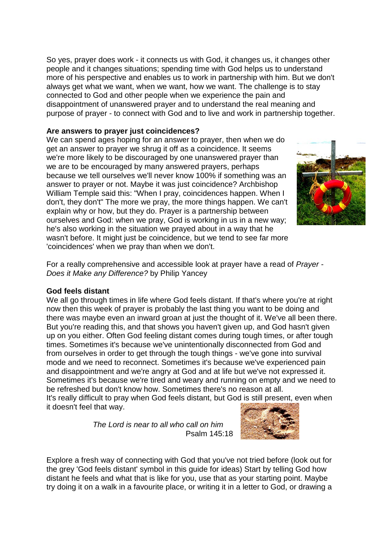So yes, prayer does work - it connects us with God, it changes us, it changes other people and it changes situations; spending time with God helps us to understand more of his perspective and enables us to work in partnership with him. But we don't always get what we want, when we want, how we want. The challenge is to stay connected to God and other people when we experience the pain and disappointment of unanswered prayer and to understand the real meaning and purpose of prayer - to connect with God and to live and work in partnership together.

# **Are answers to prayer just coincidences?**

We can spend ages hoping for an answer to prayer, then when we do get an answer to prayer we shrug it off as a coincidence. It seems we're more likely to be discouraged by one unanswered prayer than we are to be encouraged by many answered prayers, perhaps because we tell ourselves we'll never know 100% if something was an answer to prayer or not. Maybe it was just coincidence? Archbishop William Temple said this: "When I pray, coincidences happen. When I don't, they don't" The more we pray, the more things happen. We can't explain why or how, but they do. Prayer is a partnership between ourselves and God: when we pray, God is working in us in a new way; he's also working in the situation we prayed about in a way that he wasn't before. It might just be coincidence, but we tend to see far more 'coincidences' when we pray than when we don't.



For a really comprehensive and accessible look at prayer have a read of *Prayer - Does it Make any Difference?* by Philip Yancey

## **God feels distant**

We all go through times in life where God feels distant. If that's where you're at right now then this week of prayer is probably the last thing you want to be doing and there was maybe even an inward groan at just the thought of it. We've all been there. But you're reading this, and that shows you haven't given up, and God hasn't given up on you either. Often God feeling distant comes during tough times, or after tough times. Sometimes it's because we've unintentionally disconnected from God and from ourselves in order to get through the tough things - we've gone into survival mode and we need to reconnect. Sometimes it's because we've experienced pain and disappointment and we're angry at God and at life but we've not expressed it. Sometimes it's because we're tired and weary and running on empty and we need to be refreshed but don't know how. Sometimes there's no reason at all.

It's really difficult to pray when God feels distant, but God is still present, even when it doesn't feel that way.

> *The Lord is near to all who call on him* Psalm 145:18



Explore a fresh way of connecting with God that you've not tried before (look out for the grey 'God feels distant' symbol in this guide for ideas) Start by telling God how distant he feels and what that is like for you, use that as your starting point. Maybe try doing it on a walk in a favourite place, or writing it in a letter to God, or drawing a